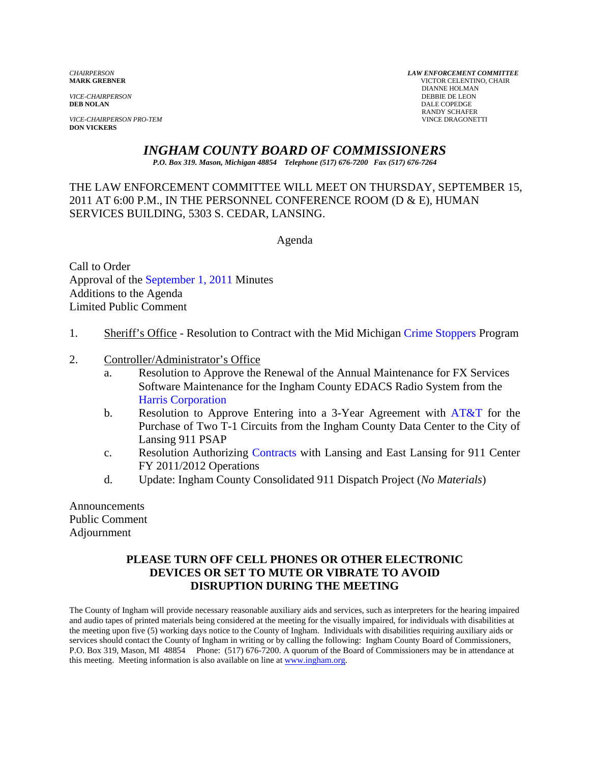*VICE-CHAIRPERSON*<br>**DEB NOLAN** 

**VICE-CHAIRPERSON PRO-TEM DON VICKERS** 

*CHAIRPERSON LAW ENFORCEMENT COMMITTEE* **MARK GREBNER** VICTOR CELENTINO, CHAIR **DIANNE HOLMAN<br>DEBBIE DE LEON DALE COPEDGE** RANDY SCHAFER<br>VINCE DRAGONETTI

# *INGHAM COUNTY BOARD OF COMMISSIONERS*

*P.O. Box 319. Mason, Michigan 48854 Telephone (517) 676-7200 Fax (517) 676-7264*

THE LAW ENFORCEMENT COMMITTEE WILL MEET ON THURSDAY, SEPTEMBER 15, 2011 AT 6:00 P.M., IN THE PERSONNEL CONFERENCE ROOM (D & E), HUMAN SERVICES BUILDING, 5303 S. CEDAR, LANSING.

Agenda

Call to Order Approval of [the September 1, 2011 Minutes](#page-1-0)  Additions to the Agenda Limited Public Comment

- 1. Sheriff's Office Resolution to Contract with the Mid Michigan [Crime Stoppers Program](#page-7-0)
- 2. Controller/Administrator's Office
	- a. Resolution to Approve the Renewal of the Annual Maintenance for FX Services Software Maintenance for the Ingham County EDACS Radio System from the Harris Corporation
	- b. [Resolution to Approve Entering](#page-9-0) into a 3-Year Agreement with  $AT&T$  for the Purchase of Two T-1 Circuits from the Ingham County Data Center to the City of Lansing 911 PSAP
	- c. Resolution Authorizi[ng Contracts with Lan](#page-13-0)sing and East Lansing for 911 Center FY 2011/2012 Operations
	- d. Update: Ingham County Consolidated 911 Dispatch Project (*No Materials*)

Announcements Public Comment Adjournment

## **PLEASE TURN OFF CELL PHONES OR OTHER ELECTRONIC DEVICES OR SET TO MUTE OR VIBRATE TO AVOID DISRUPTION DURING THE MEETING**

The County of Ingham will provide necessary reasonable auxiliary aids and services, such as interpreters for the hearing impaired and audio tapes of printed materials being considered at the meeting for the visually impaired, for individuals with disabilities at the meeting upon five (5) working days notice to the County of Ingham. Individuals with disabilities requiring auxiliary aids or services should contact the County of Ingham in writing or by calling the following: Ingham County Board of Commissioners, P.O. Box 319, Mason, MI 48854 Phone: (517) 676-7200. A quorum of the Board of Commissioners may be in attendance at this meeting. Meeting information is also available on line at www.ingham.org.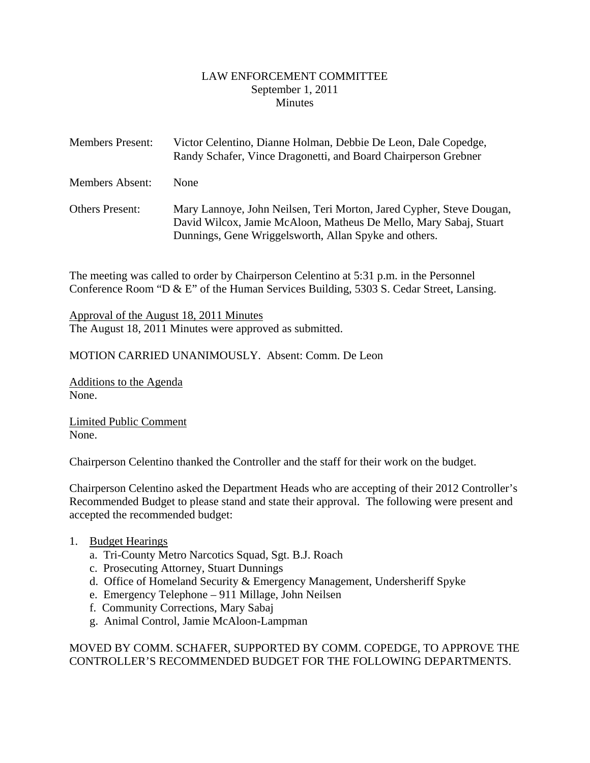#### LAW ENFORCEMENT COMMITTEE September 1, 2011 **Minutes**

<span id="page-1-0"></span>

| <b>Members Present:</b> | Victor Celentino, Dianne Holman, Debbie De Leon, Dale Copedge,<br>Randy Schafer, Vince Dragonetti, and Board Chairperson Grebner                                                                   |
|-------------------------|----------------------------------------------------------------------------------------------------------------------------------------------------------------------------------------------------|
| <b>Members Absent:</b>  | <b>None</b>                                                                                                                                                                                        |
| <b>Others Present:</b>  | Mary Lannoye, John Neilsen, Teri Morton, Jared Cypher, Steve Dougan,<br>David Wilcox, Jamie McAloon, Matheus De Mello, Mary Sabaj, Stuart<br>Dunnings, Gene Wriggelsworth, Allan Spyke and others. |

The meeting was called to order by Chairperson Celentino at 5:31 p.m. in the Personnel Conference Room "D & E" of the Human Services Building, 5303 S. Cedar Street, Lansing.

Approval of the August 18, 2011 Minutes The August 18, 2011 Minutes were approved as submitted.

MOTION CARRIED UNANIMOUSLY. Absent: Comm. De Leon

Additions to the Agenda None.

Limited Public Comment None.

Chairperson Celentino thanked the Controller and the staff for their work on the budget.

Chairperson Celentino asked the Department Heads who are accepting of their 2012 Controller's Recommended Budget to please stand and state their approval. The following were present and accepted the recommended budget:

#### 1. Budget Hearings

- a. Tri-County Metro Narcotics Squad, Sgt. B.J. Roach
- c. Prosecuting Attorney, Stuart Dunnings
- d. Office of Homeland Security & Emergency Management, Undersheriff Spyke
- e. Emergency Telephone 911 Millage, John Neilsen
- f. Community Corrections, Mary Sabaj
- g. Animal Control, Jamie McAloon-Lampman

#### MOVED BY COMM. SCHAFER, SUPPORTED BY COMM. COPEDGE, TO APPROVE THE CONTROLLER'S RECOMMENDED BUDGET FOR THE FOLLOWING DEPARTMENTS.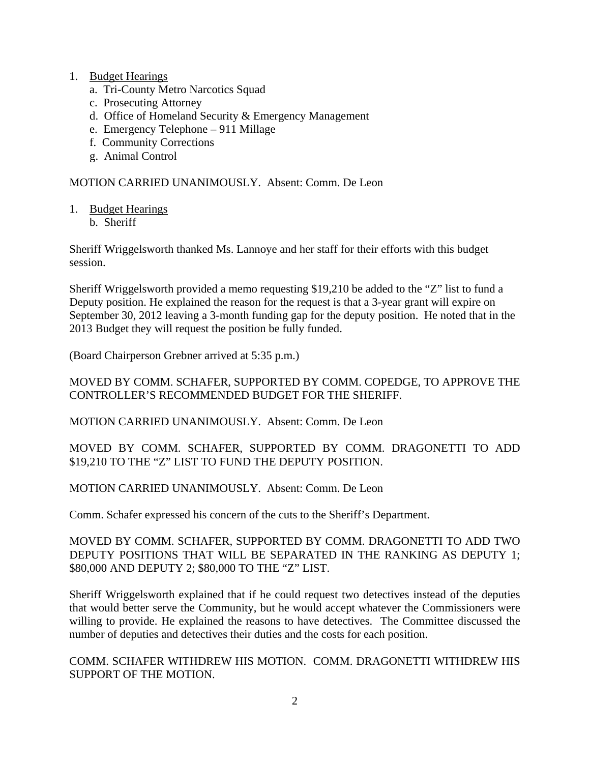- 1. Budget Hearings
	- a. Tri-County Metro Narcotics Squad
	- c. Prosecuting Attorney
	- d. Office of Homeland Security & Emergency Management
	- e. Emergency Telephone 911 Millage
	- f. Community Corrections
	- g. Animal Control

MOTION CARRIED UNANIMOUSLY. Absent: Comm. De Leon

- 1. Budget Hearings
	- b. Sheriff

Sheriff Wriggelsworth thanked Ms. Lannoye and her staff for their efforts with this budget session.

Sheriff Wriggelsworth provided a memo requesting \$19,210 be added to the "Z" list to fund a Deputy position. He explained the reason for the request is that a 3-year grant will expire on September 30, 2012 leaving a 3-month funding gap for the deputy position. He noted that in the 2013 Budget they will request the position be fully funded.

(Board Chairperson Grebner arrived at 5:35 p.m.)

#### MOVED BY COMM. SCHAFER, SUPPORTED BY COMM. COPEDGE, TO APPROVE THE CONTROLLER'S RECOMMENDED BUDGET FOR THE SHERIFF.

MOTION CARRIED UNANIMOUSLY. Absent: Comm. De Leon

#### MOVED BY COMM. SCHAFER, SUPPORTED BY COMM. DRAGONETTI TO ADD \$19,210 TO THE "Z" LIST TO FUND THE DEPUTY POSITION.

MOTION CARRIED UNANIMOUSLY. Absent: Comm. De Leon

Comm. Schafer expressed his concern of the cuts to the Sheriff's Department.

MOVED BY COMM. SCHAFER, SUPPORTED BY COMM. DRAGONETTI TO ADD TWO DEPUTY POSITIONS THAT WILL BE SEPARATED IN THE RANKING AS DEPUTY 1; \$80,000 AND DEPUTY 2; \$80,000 TO THE "Z" LIST.

Sheriff Wriggelsworth explained that if he could request two detectives instead of the deputies that would better serve the Community, but he would accept whatever the Commissioners were willing to provide. He explained the reasons to have detectives. The Committee discussed the number of deputies and detectives their duties and the costs for each position.

COMM. SCHAFER WITHDREW HIS MOTION. COMM. DRAGONETTI WITHDREW HIS SUPPORT OF THE MOTION.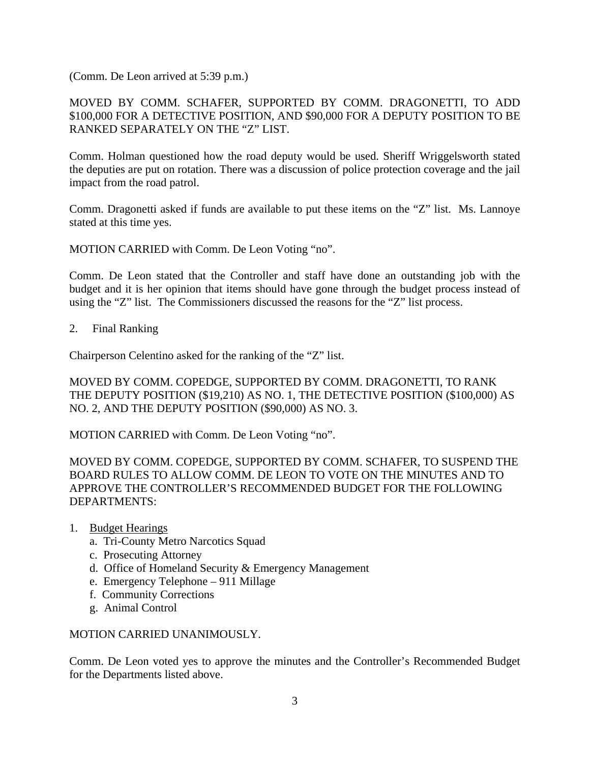(Comm. De Leon arrived at 5:39 p.m.)

## MOVED BY COMM. SCHAFER, SUPPORTED BY COMM. DRAGONETTI, TO ADD \$100,000 FOR A DETECTIVE POSITION, AND \$90,000 FOR A DEPUTY POSITION TO BE RANKED SEPARATELY ON THE "Z" LIST.

Comm. Holman questioned how the road deputy would be used. Sheriff Wriggelsworth stated the deputies are put on rotation. There was a discussion of police protection coverage and the jail impact from the road patrol.

Comm. Dragonetti asked if funds are available to put these items on the "Z" list. Ms. Lannoye stated at this time yes.

MOTION CARRIED with Comm. De Leon Voting "no".

Comm. De Leon stated that the Controller and staff have done an outstanding job with the budget and it is her opinion that items should have gone through the budget process instead of using the "Z" list. The Commissioners discussed the reasons for the "Z" list process.

2. Final Ranking

Chairperson Celentino asked for the ranking of the "Z" list.

MOVED BY COMM. COPEDGE, SUPPORTED BY COMM. DRAGONETTI, TO RANK THE DEPUTY POSITION (\$19,210) AS NO. 1, THE DETECTIVE POSITION (\$100,000) AS NO. 2, AND THE DEPUTY POSITION (\$90,000) AS NO. 3.

MOTION CARRIED with Comm. De Leon Voting "no".

MOVED BY COMM. COPEDGE, SUPPORTED BY COMM. SCHAFER, TO SUSPEND THE BOARD RULES TO ALLOW COMM. DE LEON TO VOTE ON THE MINUTES AND TO APPROVE THE CONTROLLER'S RECOMMENDED BUDGET FOR THE FOLLOWING DEPARTMENTS:

- 1. Budget Hearings
	- a. Tri-County Metro Narcotics Squad
	- c. Prosecuting Attorney
	- d. Office of Homeland Security & Emergency Management
	- e. Emergency Telephone 911 Millage
	- f. Community Corrections
	- g. Animal Control

#### MOTION CARRIED UNANIMOUSLY.

Comm. De Leon voted yes to approve the minutes and the Controller's Recommended Budget for the Departments listed above.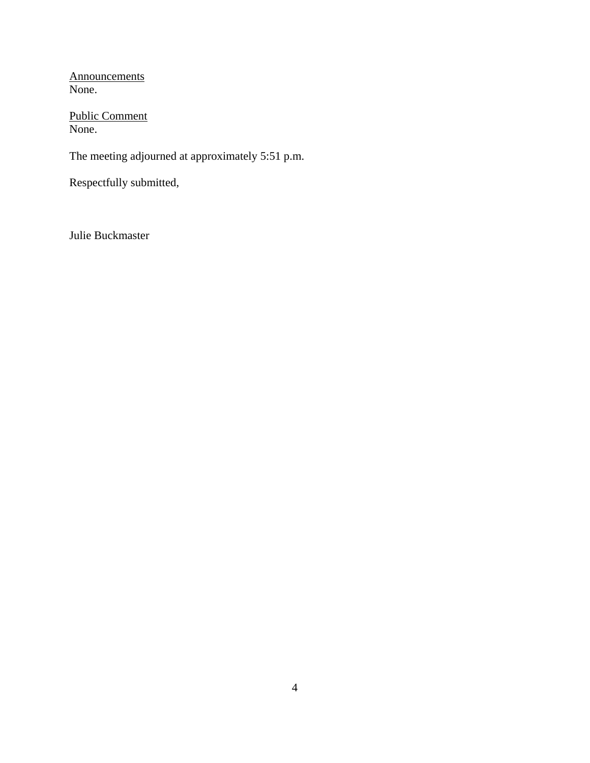**Announcements** None.

Public Comment None.

The meeting adjourned at approximately 5:51 p.m.

Respectfully submitted,

Julie Buckmaster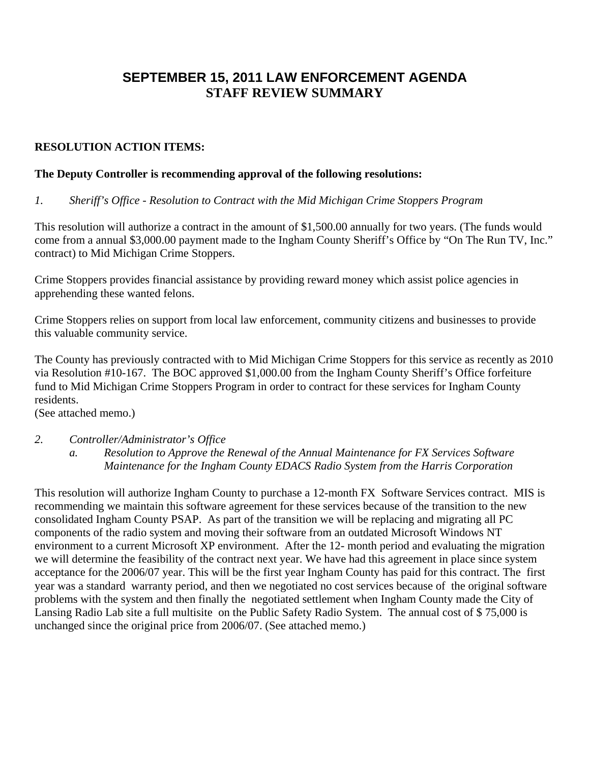# **SEPTEMBER 15, 2011 LAW ENFORCEMENT AGENDA STAFF REVIEW SUMMARY**

## **RESOLUTION ACTION ITEMS:**

#### **The Deputy Controller is recommending approval of the following resolutions:**

#### *1. Sheriff's Office - Resolution to Contract with the Mid Michigan Crime Stoppers Program*

This resolution will authorize a contract in the amount of \$1,500.00 annually for two years. (The funds would come from a annual \$3,000.00 payment made to the Ingham County Sheriff's Office by "On The Run TV, Inc." contract) to Mid Michigan Crime Stoppers.

Crime Stoppers provides financial assistance by providing reward money which assist police agencies in apprehending these wanted felons.

Crime Stoppers relies on support from local law enforcement, community citizens and businesses to provide this valuable community service.

The County has previously contracted with to Mid Michigan Crime Stoppers for this service as recently as 2010 via Resolution #10-167. The BOC approved \$1,000.00 from the Ingham County Sheriff's Office forfeiture fund to Mid Michigan Crime Stoppers Program in order to contract for these services for Ingham County residents.

(See attached memo.)

## *2. Controller/Administrator's Office*

*a. Resolution to Approve the Renewal of the Annual Maintenance for FX Services Software Maintenance for the Ingham County EDACS Radio System from the Harris Corporation* 

This resolution will authorize Ingham County to purchase a 12-month FX Software Services contract. MIS is recommending we maintain this software agreement for these services because of the transition to the new consolidated Ingham County PSAP. As part of the transition we will be replacing and migrating all PC components of the radio system and moving their software from an outdated Microsoft Windows NT environment to a current Microsoft XP environment. After the 12- month period and evaluating the migration we will determine the feasibility of the contract next year. We have had this agreement in place since system acceptance for the 2006/07 year. This will be the first year Ingham County has paid for this contract. The first year was a standard warranty period, and then we negotiated no cost services because of the original software problems with the system and then finally the negotiated settlement when Ingham County made the City of Lansing Radio Lab site a full multisite on the Public Safety Radio System. The annual cost of \$ 75,000 is unchanged since the original price from 2006/07. (See attached memo.)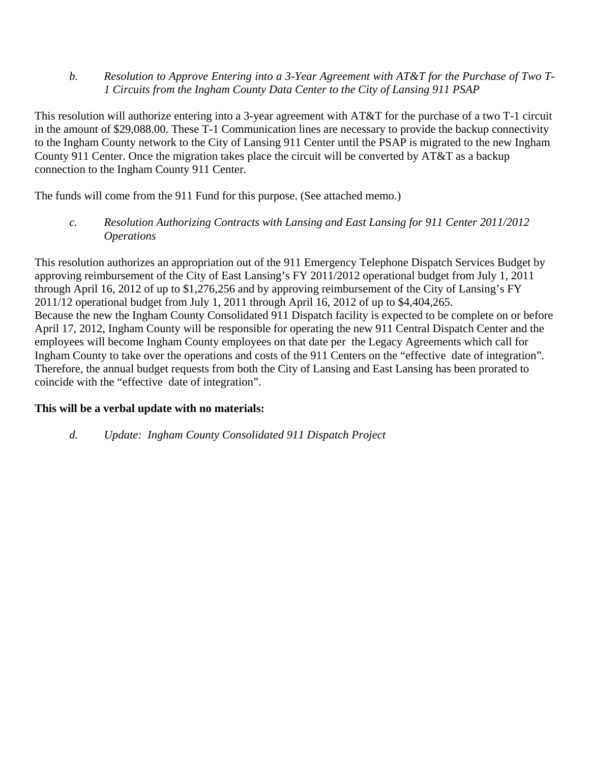*b. Resolution to Approve Entering into a 3-Year Agreement with AT&T for the Purchase of Two T-1 Circuits from the Ingham County Data Center to the City of Lansing 911 PSAP* 

This resolution will authorize entering into a 3-year agreement with AT&T for the purchase of a two T-1 circuit in the amount of \$29,088.00. These T-1 Communication lines are necessary to provide the backup connectivity to the Ingham County network to the City of Lansing 911 Center until the PSAP is migrated to the new Ingham County 911 Center. Once the migration takes place the circuit will be converted by AT&T as a backup connection to the Ingham County 911 Center.

The funds will come from the 911 Fund for this purpose. (See attached memo.)

*c. Resolution Authorizing Contracts with Lansing and East Lansing for 911 Center 2011/2012 Operations* 

This resolution authorizes an appropriation out of the 911 Emergency Telephone Dispatch Services Budget by approving reimbursement of the City of East Lansing's FY 2011/2012 operational budget from July 1, 2011 through April 16, 2012 of up to \$1,276,256 and by approving reimbursement of the City of Lansing's FY 2011/12 operational budget from July 1, 2011 through April 16, 2012 of up to \$4,404,265. Because the new the Ingham County Consolidated 911 Dispatch facility is expected to be complete on or before April 17, 2012, Ingham County will be responsible for operating the new 911 Central Dispatch Center and the employees will become Ingham County employees on that date per the Legacy Agreements which call for Ingham County to take over the operations and costs of the 911 Centers on the "effective date of integration". Therefore, the annual budget requests from both the City of Lansing and East Lansing has been prorated to coincide with the "effective date of integration".

## **This will be a verbal update with no materials:**

*d. Update: Ingham County Consolidated 911 Dispatch Project*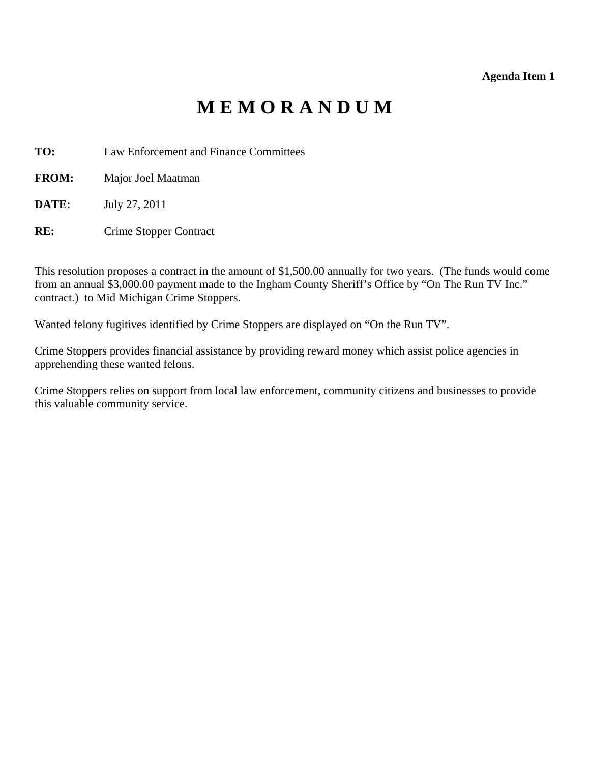# **M E M O R A N D U M**

- <span id="page-7-0"></span>**TO:** Law Enforcement and Finance Committees
- **FROM:** Major Joel Maatman
- **DATE:** July 27, 2011
- **RE:** Crime Stopper Contract

This resolution proposes a contract in the amount of \$1,500.00 annually for two years. (The funds would come from an annual \$3,000.00 payment made to the Ingham County Sheriff's Office by "On The Run TV Inc." contract.) to Mid Michigan Crime Stoppers.

Wanted felony fugitives identified by Crime Stoppers are displayed on "On the Run TV".

Crime Stoppers provides financial assistance by providing reward money which assist police agencies in apprehending these wanted felons.

Crime Stoppers relies on support from local law enforcement, community citizens and businesses to provide this valuable community service.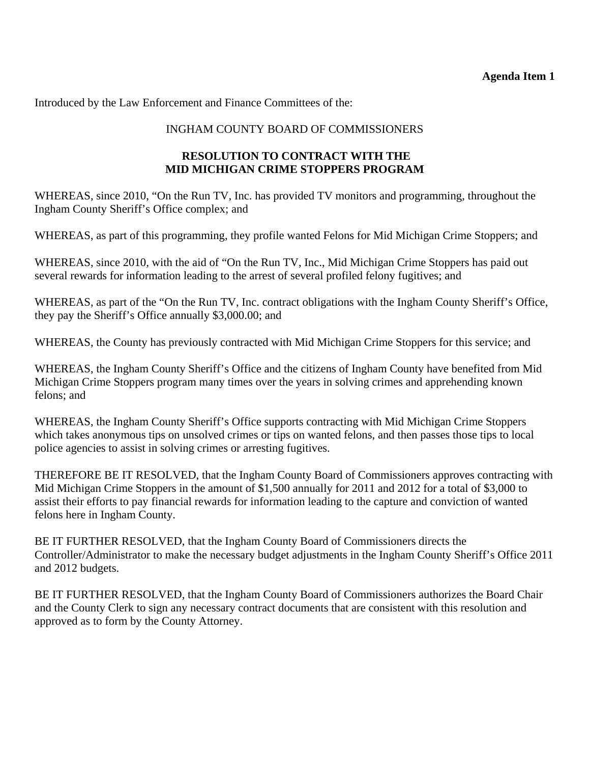## **Agenda Item 1**

Introduced by the Law Enforcement and Finance Committees of the:

## INGHAM COUNTY BOARD OF COMMISSIONERS

## **RESOLUTION TO CONTRACT WITH THE MID MICHIGAN CRIME STOPPERS PROGRAM**

WHEREAS, since 2010, "On the Run TV, Inc. has provided TV monitors and programming, throughout the Ingham County Sheriff's Office complex; and

WHEREAS, as part of this programming, they profile wanted Felons for Mid Michigan Crime Stoppers; and

WHEREAS, since 2010, with the aid of "On the Run TV, Inc., Mid Michigan Crime Stoppers has paid out several rewards for information leading to the arrest of several profiled felony fugitives; and

WHEREAS, as part of the "On the Run TV, Inc. contract obligations with the Ingham County Sheriff's Office, they pay the Sheriff's Office annually \$3,000.00; and

WHEREAS, the County has previously contracted with Mid Michigan Crime Stoppers for this service; and

WHEREAS, the Ingham County Sheriff's Office and the citizens of Ingham County have benefited from Mid Michigan Crime Stoppers program many times over the years in solving crimes and apprehending known felons; and

WHEREAS, the Ingham County Sheriff's Office supports contracting with Mid Michigan Crime Stoppers which takes anonymous tips on unsolved crimes or tips on wanted felons, and then passes those tips to local police agencies to assist in solving crimes or arresting fugitives.

THEREFORE BE IT RESOLVED, that the Ingham County Board of Commissioners approves contracting with Mid Michigan Crime Stoppers in the amount of \$1,500 annually for 2011 and 2012 for a total of \$3,000 to assist their efforts to pay financial rewards for information leading to the capture and conviction of wanted felons here in Ingham County.

BE IT FURTHER RESOLVED, that the Ingham County Board of Commissioners directs the Controller/Administrator to make the necessary budget adjustments in the Ingham County Sheriff's Office 2011 and 2012 budgets.

BE IT FURTHER RESOLVED, that the Ingham County Board of Commissioners authorizes the Board Chair and the County Clerk to sign any necessary contract documents that are consistent with this resolution and approved as to form by the County Attorney.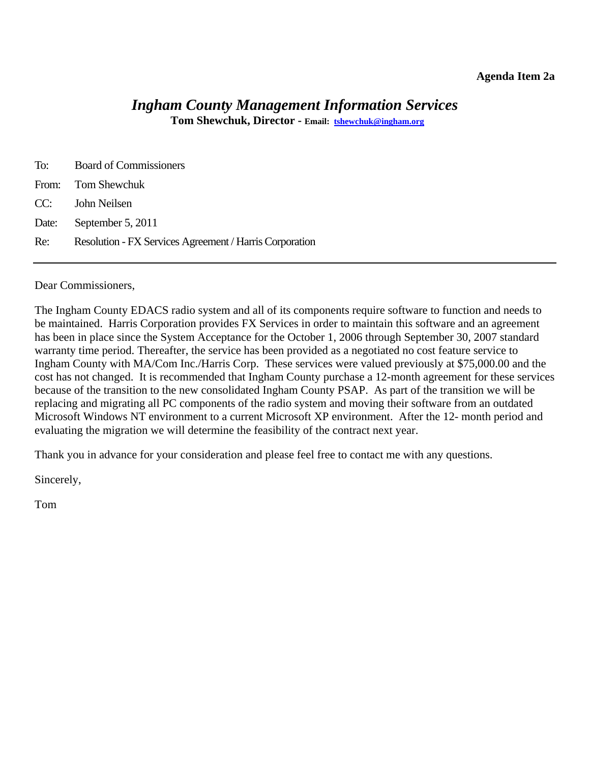#### **Agenda Item 2a**

# *Ingham County Management Information Services*

**Tom Shewchuk, Director - Email: tshewchuk@ingham.org**

<span id="page-9-0"></span>

| To: | <b>Board of Commissioners</b>                           |
|-----|---------------------------------------------------------|
|     | From: Tom Shewchuk                                      |
|     | CC: John Neilsen                                        |
|     | Date: September 5, 2011                                 |
| Re: | Resolution - FX Services Agreement / Harris Corporation |
|     |                                                         |

Dear Commissioners,

The Ingham County EDACS radio system and all of its components require software to function and needs to be maintained. Harris Corporation provides FX Services in order to maintain this software and an agreement has been in place since the System Acceptance for the October 1, 2006 through September 30, 2007 standard warranty time period. Thereafter, the service has been provided as a negotiated no cost feature service to Ingham County with MA/Com Inc./Harris Corp. These services were valued previously at \$75,000.00 and the cost has not changed. It is recommended that Ingham County purchase a 12-month agreement for these services because of the transition to the new consolidated Ingham County PSAP. As part of the transition we will be replacing and migrating all PC components of the radio system and moving their software from an outdated Microsoft Windows NT environment to a current Microsoft XP environment. After the 12- month period and evaluating the migration we will determine the feasibility of the contract next year.

Thank you in advance for your consideration and please feel free to contact me with any questions.

Sincerely,

Tom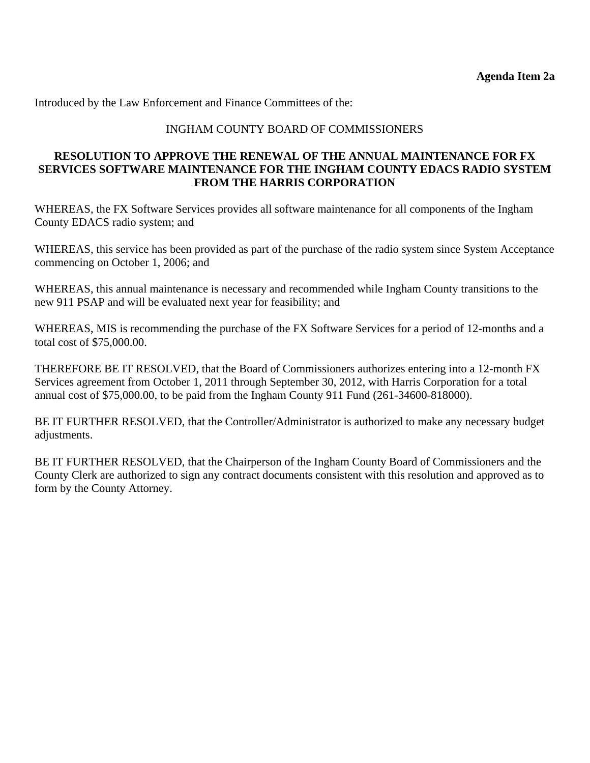Introduced by the Law Enforcement and Finance Committees of the:

## INGHAM COUNTY BOARD OF COMMISSIONERS

## **RESOLUTION TO APPROVE THE RENEWAL OF THE ANNUAL MAINTENANCE FOR FX SERVICES SOFTWARE MAINTENANCE FOR THE INGHAM COUNTY EDACS RADIO SYSTEM FROM THE HARRIS CORPORATION**

WHEREAS, the FX Software Services provides all software maintenance for all components of the Ingham County EDACS radio system; and

WHEREAS, this service has been provided as part of the purchase of the radio system since System Acceptance commencing on October 1, 2006; and

WHEREAS, this annual maintenance is necessary and recommended while Ingham County transitions to the new 911 PSAP and will be evaluated next year for feasibility; and

WHEREAS, MIS is recommending the purchase of the FX Software Services for a period of 12-months and a total cost of \$75,000.00.

THEREFORE BE IT RESOLVED, that the Board of Commissioners authorizes entering into a 12-month FX Services agreement from October 1, 2011 through September 30, 2012, with Harris Corporation for a total annual cost of \$75,000.00, to be paid from the Ingham County 911 Fund (261-34600-818000).

BE IT FURTHER RESOLVED, that the Controller/Administrator is authorized to make any necessary budget adjustments.

BE IT FURTHER RESOLVED, that the Chairperson of the Ingham County Board of Commissioners and the County Clerk are authorized to sign any contract documents consistent with this resolution and approved as to form by the County Attorney.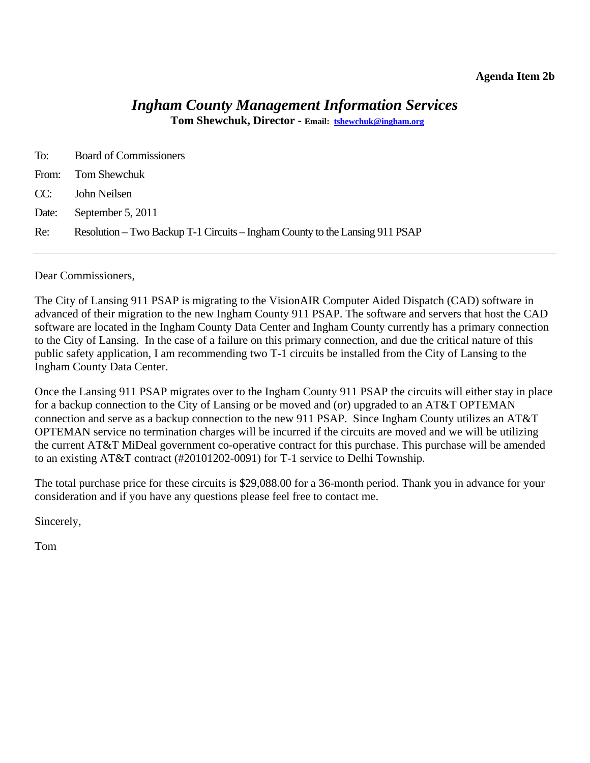#### **Agenda Item 2b**

# *Ingham County Management Information Services*

**Tom Shewchuk, Director - Email: tshewchuk@ingham.org**

<span id="page-11-0"></span>

| To:   | <b>Board of Commissioners</b>                                                |
|-------|------------------------------------------------------------------------------|
|       | From: Tom Shewchuk                                                           |
|       | CC: John Neilsen                                                             |
| Date: | September 5, 2011                                                            |
| Re:   | Resolution – Two Backup T-1 Circuits – Ingham County to the Lansing 911 PSAP |

Dear Commissioners,

The City of Lansing 911 PSAP is migrating to the VisionAIR Computer Aided Dispatch (CAD) software in advanced of their migration to the new Ingham County 911 PSAP. The software and servers that host the CAD software are located in the Ingham County Data Center and Ingham County currently has a primary connection to the City of Lansing. In the case of a failure on this primary connection, and due the critical nature of this public safety application, I am recommending two T-1 circuits be installed from the City of Lansing to the Ingham County Data Center.

Once the Lansing 911 PSAP migrates over to the Ingham County 911 PSAP the circuits will either stay in place for a backup connection to the City of Lansing or be moved and (or) upgraded to an AT&T OPTEMAN connection and serve as a backup connection to the new 911 PSAP. Since Ingham County utilizes an AT&T OPTEMAN service no termination charges will be incurred if the circuits are moved and we will be utilizing the current AT&T MiDeal government co-operative contract for this purchase. This purchase will be amended to an existing AT&T contract (#20101202-0091) for T-1 service to Delhi Township.

The total purchase price for these circuits is \$29,088.00 for a 36-month period. Thank you in advance for your consideration and if you have any questions please feel free to contact me.

Sincerely,

Tom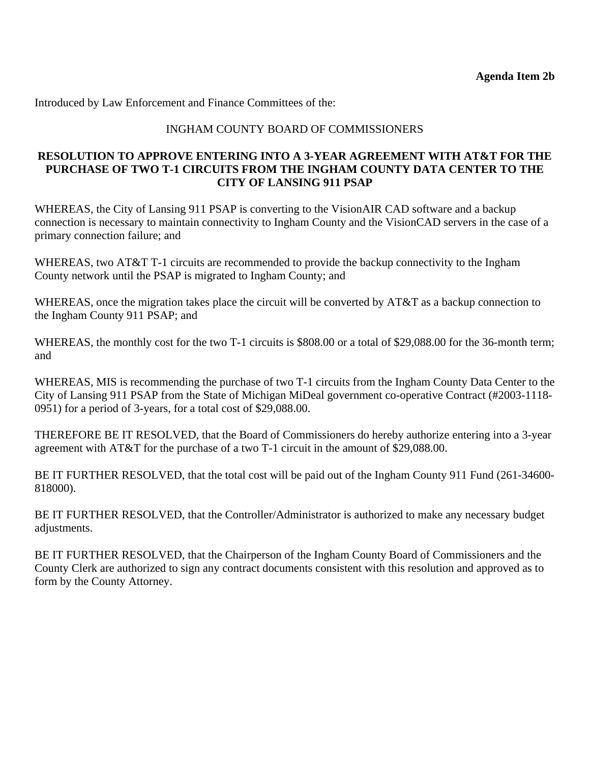Introduced by Law Enforcement and Finance Committees of the:

#### INGHAM COUNTY BOARD OF COMMISSIONERS

#### **RESOLUTION TO APPROVE ENTERING INTO A 3-YEAR AGREEMENT WITH AT&T FOR THE PURCHASE OF TWO T-1 CIRCUITS FROM THE INGHAM COUNTY DATA CENTER TO THE CITY OF LANSING 911 PSAP**

WHEREAS, the City of Lansing 911 PSAP is converting to the VisionAIR CAD software and a backup connection is necessary to maintain connectivity to Ingham County and the VisionCAD servers in the case of a primary connection failure; and

WHEREAS, two AT&T T-1 circuits are recommended to provide the backup connectivity to the Ingham County network until the PSAP is migrated to Ingham County; and

WHEREAS, once the migration takes place the circuit will be converted by AT&T as a backup connection to the Ingham County 911 PSAP; and

WHEREAS, the monthly cost for the two T-1 circuits is \$808.00 or a total of \$29,088.00 for the 36-month term; and

WHEREAS, MIS is recommending the purchase of two T-1 circuits from the Ingham County Data Center to the City of Lansing 911 PSAP from the State of Michigan MiDeal government co-operative Contract (#2003-1118- 0951) for a period of 3-years, for a total cost of \$29,088.00.

THEREFORE BE IT RESOLVED, that the Board of Commissioners do hereby authorize entering into a 3-year agreement with AT&T for the purchase of a two T-1 circuit in the amount of \$29,088.00.

BE IT FURTHER RESOLVED, that the total cost will be paid out of the Ingham County 911 Fund (261-34600- 818000).

BE IT FURTHER RESOLVED, that the Controller/Administrator is authorized to make any necessary budget adjustments.

BE IT FURTHER RESOLVED, that the Chairperson of the Ingham County Board of Commissioners and the County Clerk are authorized to sign any contract documents consistent with this resolution and approved as to form by the County Attorney.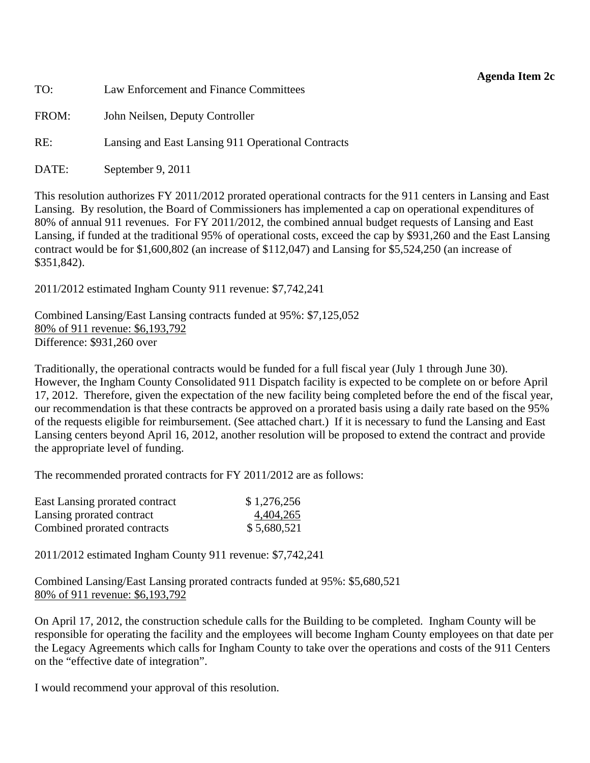#### **Agenda Item 2c**

<span id="page-13-0"></span>TO: Law Enforcement and Finance Committees FROM: John Neilsen, Deputy Controller RE: Lansing and East Lansing 911 Operational Contracts

DATE: September 9, 2011

This resolution authorizes FY 2011/2012 prorated operational contracts for the 911 centers in Lansing and East Lansing. By resolution, the Board of Commissioners has implemented a cap on operational expenditures of 80% of annual 911 revenues. For FY 2011/2012, the combined annual budget requests of Lansing and East Lansing, if funded at the traditional 95% of operational costs, exceed the cap by \$931,260 and the East Lansing contract would be for \$1,600,802 (an increase of \$112,047) and Lansing for \$5,524,250 (an increase of \$351,842).

2011/2012 estimated Ingham County 911 revenue: \$7,742,241

Combined Lansing/East Lansing contracts funded at 95%: \$7,125,052 80% of 911 revenue: \$6,193,792 Difference: \$931,260 over

Traditionally, the operational contracts would be funded for a full fiscal year (July 1 through June 30). However, the Ingham County Consolidated 911 Dispatch facility is expected to be complete on or before April 17, 2012. Therefore, given the expectation of the new facility being completed before the end of the fiscal year, our recommendation is that these contracts be approved on a prorated basis using a daily rate based on the 95% of the requests eligible for reimbursement. (See attached chart.) If it is necessary to fund the Lansing and East Lansing centers beyond April 16, 2012, another resolution will be proposed to extend the contract and provide the appropriate level of funding.

The recommended prorated contracts for FY 2011/2012 are as follows:

| East Lansing prorated contract | \$1,276,256 |
|--------------------------------|-------------|
| Lansing prorated contract      | 4,404,265   |
| Combined prorated contracts    | \$5,680,521 |

2011/2012 estimated Ingham County 911 revenue: \$7,742,241

Combined Lansing/East Lansing prorated contracts funded at 95%: \$5,680,521 80% of 911 revenue: \$6,193,792

On April 17, 2012, the construction schedule calls for the Building to be completed. Ingham County will be responsible for operating the facility and the employees will become Ingham County employees on that date per the Legacy Agreements which calls for Ingham County to take over the operations and costs of the 911 Centers on the "effective date of integration".

I would recommend your approval of this resolution.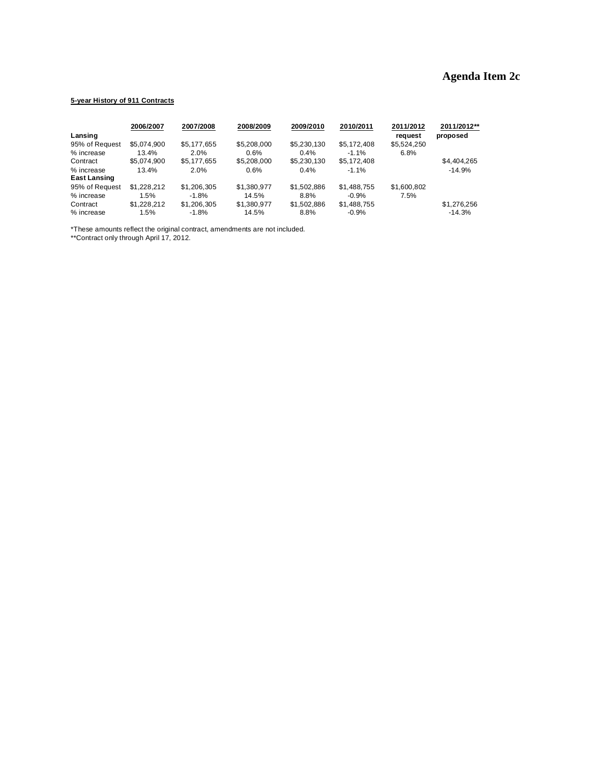# **Agenda Item 2c**

#### **5-year History of 911 Contracts**

|                     | 2006/2007   | 2007/2008   | 2008/2009   | 2009/2010   | 2010/2011   | 2011/2012   | 2011/2012** |
|---------------------|-------------|-------------|-------------|-------------|-------------|-------------|-------------|
| Lansing             |             |             |             |             |             | request     | proposed    |
| 95% of Request      | \$5.074.900 | \$5,177,655 | \$5,208,000 | \$5,230,130 | \$5,172,408 | \$5,524,250 |             |
| % increase          | 13.4%       | 2.0%        | 0.6%        | $0.4\%$     | $-1.1\%$    | 6.8%        |             |
| Contract            | \$5.074.900 | \$5.177.655 | \$5,208,000 | \$5,230,130 | \$5,172,408 |             | \$4,404,265 |
| % increase          | 13.4%       | 2.0%        | 0.6%        | $0.4\%$     | $-1.1%$     |             | $-14.9%$    |
| <b>East Lansing</b> |             |             |             |             |             |             |             |
| 95% of Request      | \$1,228,212 | \$1,206,305 | \$1,380,977 | \$1,502,886 | \$1,488,755 | \$1,600,802 |             |
| % increase          | 1.5%        | $-1.8%$     | 14.5%       | 8.8%        | $-0.9%$     | 7.5%        |             |
| Contract            | \$1,228,212 | \$1,206,305 | \$1,380,977 | \$1,502,886 | \$1,488,755 |             | \$1,276,256 |
| % increase          | 1.5%        | $-1.8%$     | 14.5%       | 8.8%        | $-0.9%$     |             | $-14.3%$    |

\*These amounts reflect the original contract, amendments are not included.

\*\*Contract only through April 17, 2012.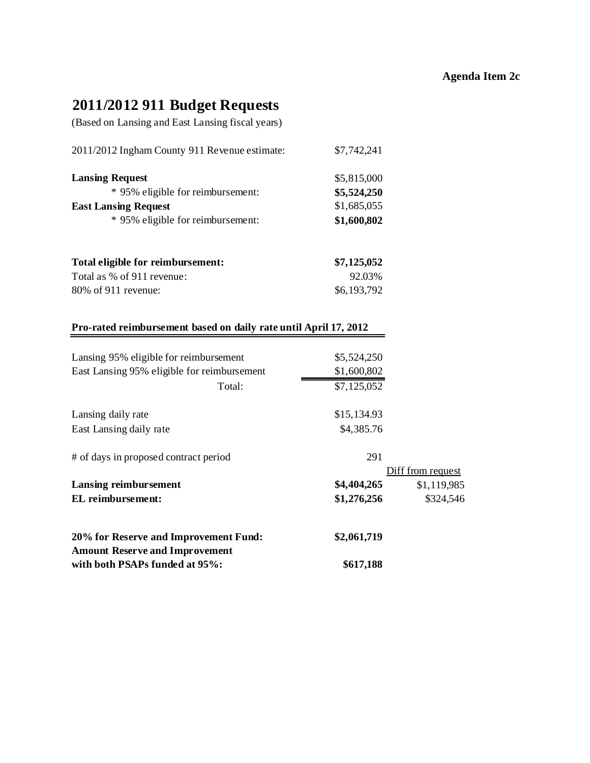# **2011/2012 911 Budget Requests**

(Based on Lansing and East Lansing fiscal years)

| 2011/2012 Ingham County 911 Revenue estimate: | \$7,742,241 |  |
|-----------------------------------------------|-------------|--|
| <b>Lansing Request</b>                        | \$5,815,000 |  |
| * 95% eligible for reimbursement:             | \$5,524,250 |  |
| <b>East Lansing Request</b>                   | \$1,685,055 |  |
| * 95% eligible for reimbursement:             | \$1,600,802 |  |
| Total eligible for reimbursement:             | \$7,125,052 |  |
| Total as % of 911 revenue:                    | 92.03%      |  |

| 80% of 911 revenue: |  | \$6,193,792 |
|---------------------|--|-------------|
|                     |  |             |

#### **Pro-rated reimbursement based on daily rate until April 17, 2012**

| Lansing 95% eligible for reimbursement<br>East Lansing 95% eligible for reimbursement | \$5,524,250<br>\$1,600,802 |                   |
|---------------------------------------------------------------------------------------|----------------------------|-------------------|
| Total:                                                                                | \$7,125,052                |                   |
| Lansing daily rate                                                                    | \$15,134.93                |                   |
| East Lansing daily rate                                                               | \$4,385.76                 |                   |
| # of days in proposed contract period                                                 | 291                        |                   |
|                                                                                       |                            | Diff from request |
| Lansing reimbursement                                                                 | \$4,404,265                | \$1,119,985       |
| EL reimbursement:                                                                     | \$1,276,256                | \$324,546         |
| 20% for Reserve and Improvement Fund:                                                 | \$2,061,719                |                   |
| <b>Amount Reserve and Improvement</b>                                                 |                            |                   |
| with both PSAPs funded at 95%:                                                        | \$617,188                  |                   |